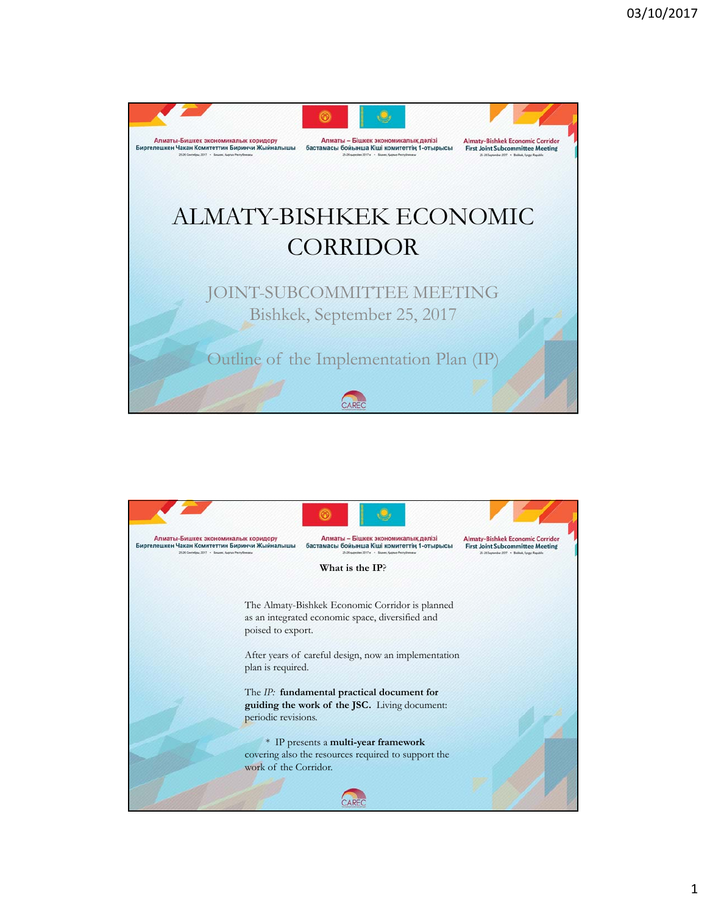

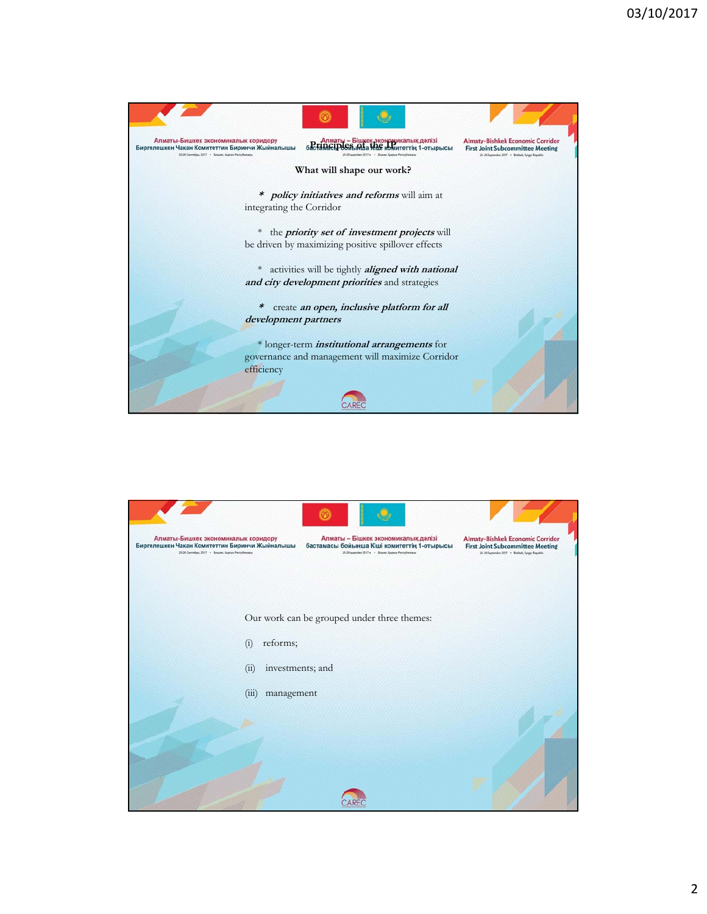

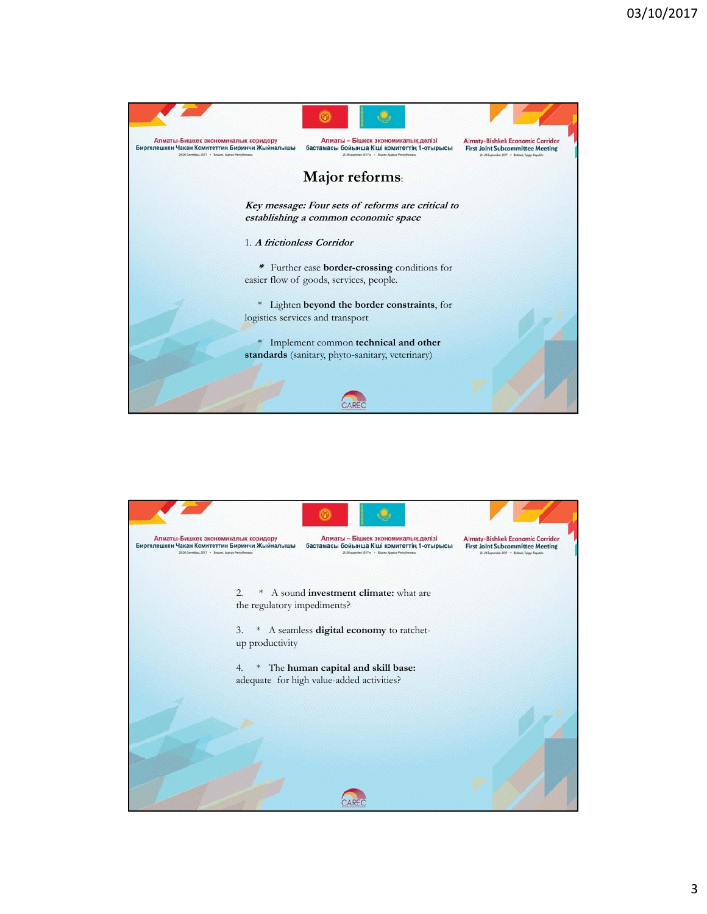

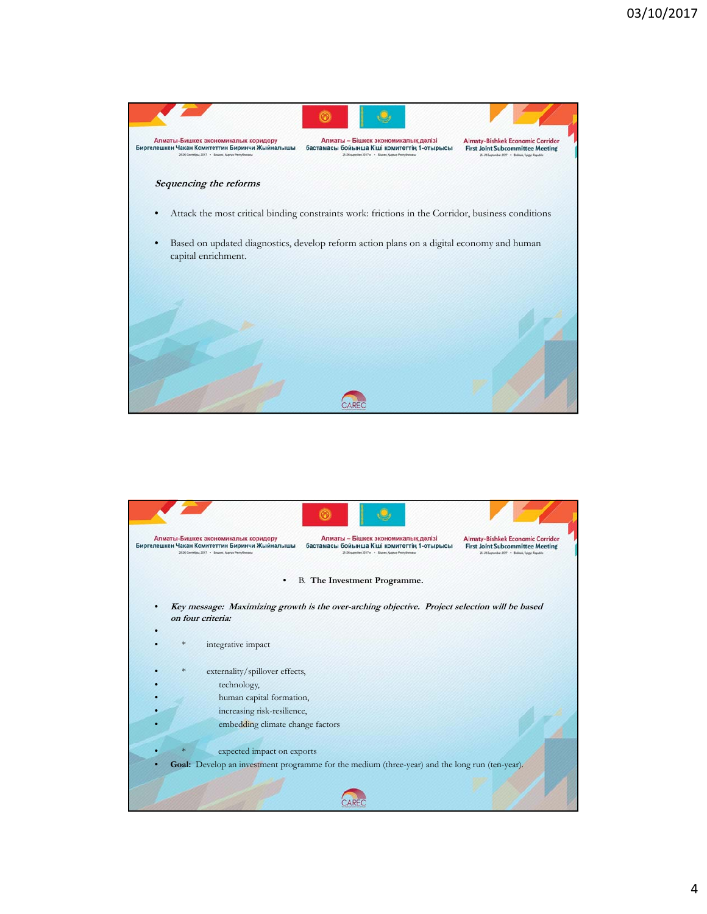

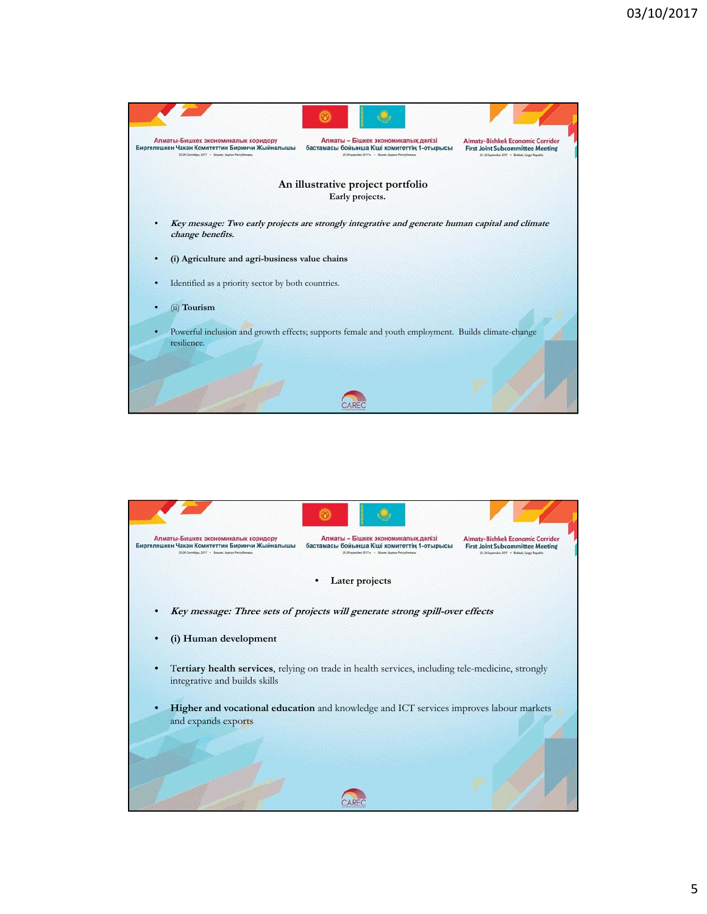

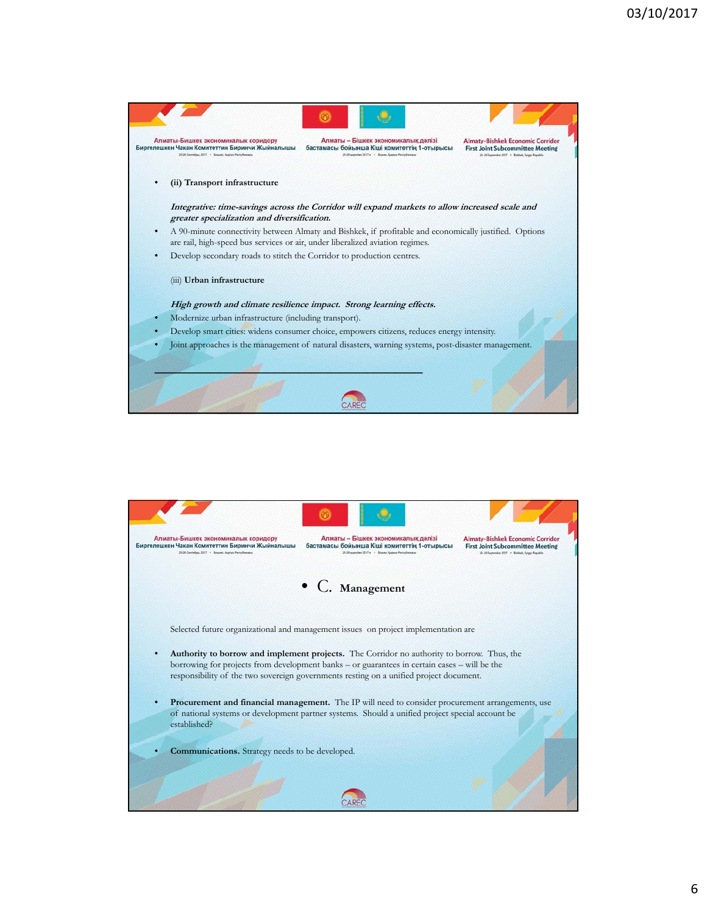

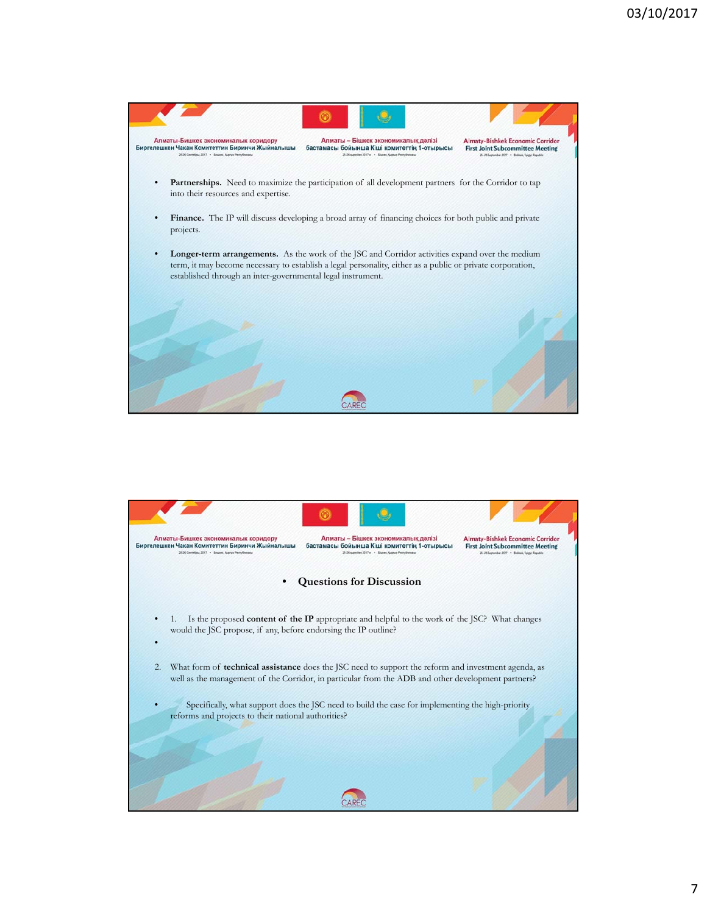